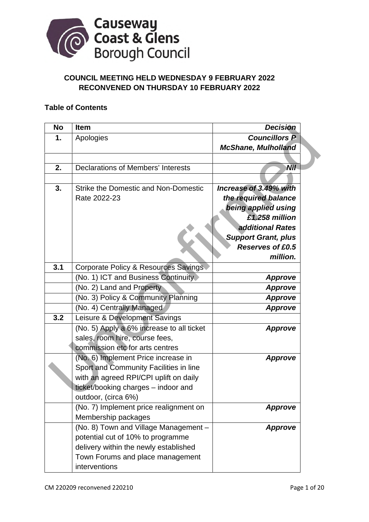

# **COUNCIL MEETING HELD WEDNESDAY 9 FEBRUARY 2022 RECONVENED ON THURSDAY 10 FEBRUARY 2022**

## **Table of Contents**

| <b>No</b> | Item                                        | <b>Decision</b>            |
|-----------|---------------------------------------------|----------------------------|
| 1.        | Apologies                                   | <b>Councillors P</b>       |
|           |                                             | <b>McShane, Mulholland</b> |
|           |                                             |                            |
| 2.        | <b>Declarations of Members' Interests</b>   | Nil                        |
|           |                                             |                            |
| 3.        | <b>Strike the Domestic and Non-Domestic</b> | Increase of 3.49% with     |
|           | Rate 2022-23                                | the required balance       |
|           |                                             | being applied using        |
|           |                                             | £1.258 million             |
|           |                                             | additional Rates           |
|           |                                             | <b>Support Grant, plus</b> |
|           |                                             | <b>Reserves of £0.5</b>    |
|           |                                             | million.                   |
| 3.1       | Corporate Policy & Resources Savings        |                            |
|           | (No. 1) ICT and Business Continuity         | <b>Approve</b>             |
|           | (No. 2) Land and Property                   | <b>Approve</b>             |
|           | (No. 3) Policy & Community Planning         | <b>Approve</b>             |
|           | (No. 4) Centrally Managed                   | <b>Approve</b>             |
| 3.2       | Leisure & Development Savings               |                            |
|           | (No. 5) Apply a 6% increase to all ticket   | <b>Approve</b>             |
|           | sales, room hire, course fees,              |                            |
|           | commission etc for arts centres             |                            |
|           | (No. 6) Implement Price increase in         | <b>Approve</b>             |
|           | Sport and Community Facilities in line      |                            |
|           | with an agreed RPI/CPI uplift on daily      |                            |
|           | ticket/booking charges - indoor and         |                            |
|           | outdoor, (circa 6%)                         |                            |
|           | (No. 7) Implement price realignment on      | <b>Approve</b>             |
|           | Membership packages                         |                            |
|           | (No. 8) Town and Village Management -       | <b>Approve</b>             |
|           | potential cut of 10% to programme           |                            |
|           | delivery within the newly established       |                            |
|           | Town Forums and place management            |                            |
|           | interventions                               |                            |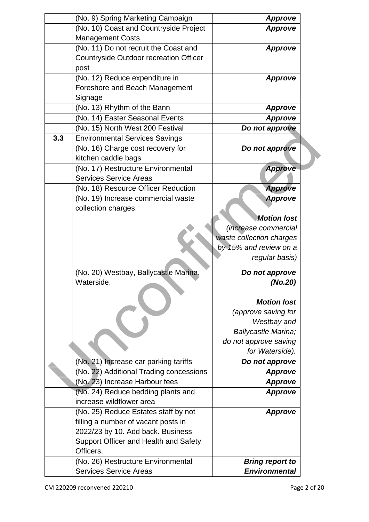|     | (No. 9) Spring Marketing Campaign             | <b>Approve</b>              |  |
|-----|-----------------------------------------------|-----------------------------|--|
|     | (No. 10) Coast and Countryside Project        | <b>Approve</b>              |  |
|     | <b>Management Costs</b>                       |                             |  |
|     | (No. 11) Do not recruit the Coast and         | <b>Approve</b>              |  |
|     | <b>Countryside Outdoor recreation Officer</b> |                             |  |
|     | post                                          |                             |  |
|     | (No. 12) Reduce expenditure in                | <b>Approve</b>              |  |
|     | Foreshore and Beach Management                |                             |  |
|     | Signage                                       |                             |  |
|     | (No. 13) Rhythm of the Bann                   | <b>Approve</b>              |  |
|     | (No. 14) Easter Seasonal Events               | <b>Approve</b>              |  |
|     | (No. 15) North West 200 Festival              | Do not approve              |  |
| 3.3 | <b>Environmental Services Savings</b>         |                             |  |
|     | (No. 16) Charge cost recovery for             | Do not approve              |  |
|     | kitchen caddie bags                           |                             |  |
|     | (No. 17) Restructure Environmental            | <b>Approve</b>              |  |
|     | <b>Services Service Areas</b>                 |                             |  |
|     | (No. 18) Resource Officer Reduction           | <b>Approve</b>              |  |
|     | (No. 19) Increase commercial waste            | <b>Approve</b>              |  |
|     | collection charges.                           |                             |  |
|     |                                               | <b>Motion lost</b>          |  |
|     |                                               | <i>(increase commercial</i> |  |
|     |                                               | waste collection charges    |  |
|     |                                               | by 15% and review on a      |  |
|     |                                               | regular basis)              |  |
|     | (No. 20) Westbay, Ballycastle Marina,         | Do not approve              |  |
|     | Waterside.                                    | (No.20)                     |  |
|     |                                               |                             |  |
|     |                                               | <b>Motion lost</b>          |  |
|     |                                               | (approve saving for         |  |
|     |                                               | Westbay and                 |  |
|     |                                               | Ballycastle Marina;         |  |
|     |                                               | do not approve saving       |  |
|     |                                               | for Waterside).             |  |
|     | (No. 21) Increase car parking tariffs         | Do not approve              |  |
|     | (No. 22) Additional Trading concessions       | <b>Approve</b>              |  |
|     | (No. 23) Increase Harbour fees                | <b>Approve</b>              |  |
|     | (No. 24) Reduce bedding plants and            | <b>Approve</b>              |  |
|     | increase wildflower area                      |                             |  |
|     | (No. 25) Reduce Estates staff by not          | <b>Approve</b>              |  |
|     | filling a number of vacant posts in           |                             |  |
|     | 2022/23 by 10. Add back. Business             |                             |  |
|     | Support Officer and Health and Safety         |                             |  |
|     | Officers.                                     |                             |  |
|     | (No. 26) Restructure Environmental            | <b>Bring report to</b>      |  |
|     | <b>Services Service Areas</b>                 | <b>Environmental</b>        |  |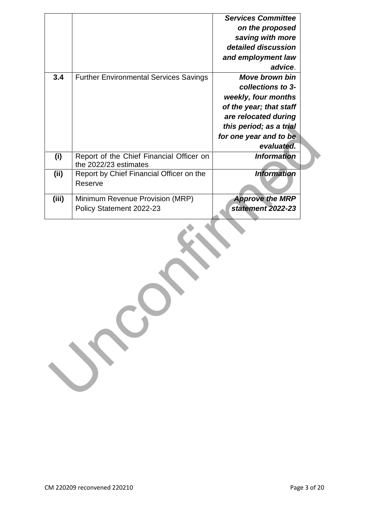|       |                                                                   | <b>Services Committee</b> |  |  |  |
|-------|-------------------------------------------------------------------|---------------------------|--|--|--|
|       |                                                                   | on the proposed           |  |  |  |
|       |                                                                   | saving with more          |  |  |  |
|       |                                                                   | detailed discussion       |  |  |  |
|       |                                                                   | and employment law        |  |  |  |
|       |                                                                   | advice.                   |  |  |  |
| 3.4   | <b>Further Environmental Services Savings</b>                     | <b>Move brown bin</b>     |  |  |  |
|       |                                                                   | collections to 3-         |  |  |  |
|       |                                                                   | weekly, four months       |  |  |  |
|       |                                                                   | of the year; that staff   |  |  |  |
|       |                                                                   | are relocated during      |  |  |  |
|       |                                                                   | this period; as a trial   |  |  |  |
|       |                                                                   | for one year and to be    |  |  |  |
|       |                                                                   | evaluated.                |  |  |  |
| (i)   | Report of the Chief Financial Officer on<br>the 2022/23 estimates | <b>Information</b>        |  |  |  |
| (ii)  | Report by Chief Financial Officer on the                          | <b>Information</b>        |  |  |  |
|       | Reserve                                                           |                           |  |  |  |
| (iii) | Minimum Revenue Provision (MRP)                                   | <b>Approve the MRP</b>    |  |  |  |
|       | Policy Statement 2022-23                                          | statement 2022-23         |  |  |  |
|       |                                                                   |                           |  |  |  |
|       |                                                                   |                           |  |  |  |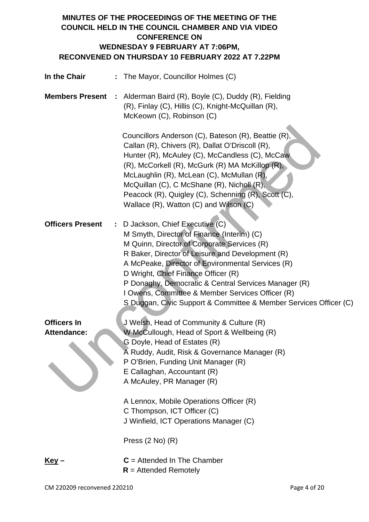# **MINUTES OF THE PROCEEDINGS OF THE MEETING OF THE COUNCIL HELD IN THE COUNCIL CHAMBER AND VIA VIDEO CONFERENCE ON WEDNESDAY 9 FEBRUARY AT 7:06PM, RECONVENED ON THURSDAY 10 FEBRUARY 2022 AT 7.22PM**

| In the Chair                             | : The Mayor, Councillor Holmes (C)                                                                                                                                                                                                                                                                                                                                                                                                                           |
|------------------------------------------|--------------------------------------------------------------------------------------------------------------------------------------------------------------------------------------------------------------------------------------------------------------------------------------------------------------------------------------------------------------------------------------------------------------------------------------------------------------|
| <b>Members Present</b>                   | Alderman Baird (R), Boyle (C), Duddy (R), Fielding<br>(R), Finlay (C), Hillis (C), Knight-McQuillan (R),<br>McKeown (C), Robinson (C)                                                                                                                                                                                                                                                                                                                        |
|                                          | Councillors Anderson (C), Bateson (R), Beattie (R),<br>Callan (R), Chivers (R), Dallat O'Driscoll (R),<br>Hunter (R), McAuley (C), McCandless (C), McCaw<br>(R), McCorkell (R), McGurk (R) MA McKillop (R),<br>McLaughlin (R), McLean (C), McMullan (R),<br>McQuillan (C), C McShane (R), Nicholl (R),<br>Peacock (R), Quigley (C), Schenning (R), Scott (C),<br>Wallace (R), Watton (C) and Wilson (C)                                                      |
| <b>Officers Present</b>                  | D Jackson, Chief Executive (C)<br>M Smyth, Director of Finance (Interim) (C)<br>M Quinn, Director of Corporate Services (R)<br>R Baker, Director of Leisure and Development (R)<br>A McPeake, Director of Environmental Services (R)<br>D Wright, Chief Finance Officer (R)<br>P Donaghy, Democratic & Central Services Manager (R)<br>I Owens, Committee & Member Services Officer (R)<br>S Duggan, Civic Support & Committee & Member Services Officer (C) |
| <b>Officers In</b><br><b>Attendance:</b> | J Welsh, Head of Community & Culture (R)<br>W McCullough, Head of Sport & Wellbeing (R)<br>G Doyle, Head of Estates (R)<br>A Ruddy, Audit, Risk & Governance Manager (R)<br>P O'Brien, Funding Unit Manager (R)<br>E Callaghan, Accountant (R)<br>A McAuley, PR Manager (R)                                                                                                                                                                                  |
|                                          | A Lennox, Mobile Operations Officer (R)<br>C Thompson, ICT Officer (C)<br>J Winfield, ICT Operations Manager (C)                                                                                                                                                                                                                                                                                                                                             |
|                                          | Press $(2 No)$ $(R)$                                                                                                                                                                                                                                                                                                                                                                                                                                         |
| <u>Key</u> –                             | $C =$ Attended In The Chamber<br>$R =$ Attended Remotely                                                                                                                                                                                                                                                                                                                                                                                                     |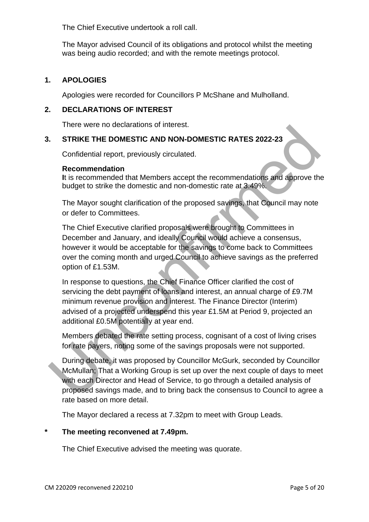The Chief Executive undertook a roll call.

The Mayor advised Council of its obligations and protocol whilst the meeting was being audio recorded; and with the remote meetings protocol.

## **1. APOLOGIES**

Apologies were recorded for Councillors P McShane and Mulholland.

## **2. DECLARATIONS OF INTEREST**

There were no declarations of interest.

## **3. STRIKE THE DOMESTIC AND NON-DOMESTIC RATES 2022-23**

Confidential report, previously circulated.

#### **Recommendation**

**I**t is recommended that Members accept the recommendations and approve the budget to strike the domestic and non-domestic rate at 3.49%.

The Mayor sought clarification of the proposed savings, that Council may note or defer to Committees.

The Chief Executive clarified proposals were brought to Committees in December and January, and ideally Council would achieve a consensus, however it would be acceptable for the savings to come back to Committees over the coming month and urged Council to achieve savings as the preferred option of £1.53M. THERE THE DOMESTIC AND NON-DOMESTIC RATES 2022-23<br>
Confidential report<br>
Recommended that Members accept the recommendations and approve the<br>
this recommended that Members accept the recommendations and approve the<br>
this re

In response to questions, the Chief Finance Officer clarified the cost of servicing the debt payment of loans and interest, an annual charge of £9.7M minimum revenue provision and interest. The Finance Director (Interim) advised of a projected underspend this year £1.5M at Period 9, projected an additional £0.5M potentially at year end.

Members debated the rate setting process, cognisant of a cost of living crises for rate payers, noting some of the savings proposals were not supported.

During debate, it was proposed by Councillor McGurk, seconded by Councillor McMullan; That a Working Group is set up over the next couple of days to meet with each Director and Head of Service, to go through a detailed analysis of proposed savings made, and to bring back the consensus to Council to agree a rate based on more detail.

The Mayor declared a recess at 7.32pm to meet with Group Leads.

## **\* The meeting reconvened at 7.49pm.**

The Chief Executive advised the meeting was quorate.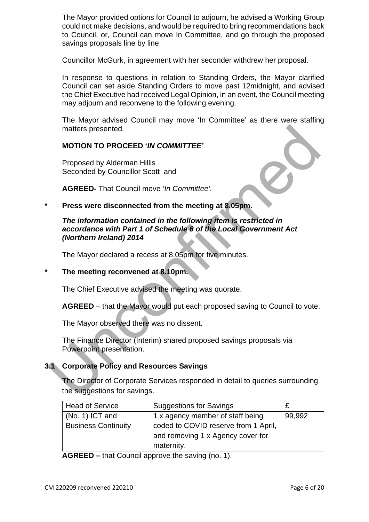The Mayor provided options for Council to adjourn, he advised a Working Group could not make decisions, and would be required to bring recommendations back to Council, or, Council can move In Committee, and go through the proposed savings proposals line by line.

Councillor McGurk, in agreement with her seconder withdrew her proposal.

In response to questions in relation to Standing Orders, the Mayor clarified Council can set aside Standing Orders to move past 12midnight, and advised the Chief Executive had received Legal Opinion, in an event, the Council meeting may adjourn and reconvene to the following evening.

The Mayor advised Council may move 'In Committee' as there were staffing matters presented.

## **MOTION TO PROCEED '***IN COMMITTEE'*

Proposed by Alderman Hillis Seconded by Councillor Scott and

**AGREED-** That Council move '*In Committee'.* 

**\* Press were disconnected from the meeting at 8.05pm.** 

# *The information contained in the following item is restricted in accordance with Part 1 of Schedule 6 of the Local Government Act (Northern Ireland) 2014*  matters presented.<br>
MOTION TO PROCEED '*IN COMMITTEE'*<br>
Proposed by Alderman Hillis<br>
Seconded by Councillor Scott and<br>
AGREED- That Council move '*In Committee'*.<br>
Press were disconnected from the meeting at 8.05pm.<br>
The i

The Mayor declared a recess at 8.05pm for five minutes.

## **\* The meeting reconvened at 8.10pm.**

The Chief Executive advised the meeting was quorate.

**AGREED** – that the Mayor would put each proposed saving to Council to vote.

The Mayor observed there was no dissent.

The Finance Director (Interim) shared proposed savings proposals via Powerpoint presentation.

## **3.1 Corporate Policy and Resources Savings**

The Director of Corporate Services responded in detail to queries surrounding the suggestions for savings.

| <b>Head of Service</b>     | <b>Suggestions for Savings</b>       |        |
|----------------------------|--------------------------------------|--------|
| $(No. 1)$ ICT and          | 1 x agency member of staff being     | 99,992 |
| <b>Business Continuity</b> | coded to COVID reserve from 1 April, |        |
|                            | and removing 1 x Agency cover for    |        |
|                            | maternity.                           |        |

**AGREED –** that Council approve the saving (no. 1).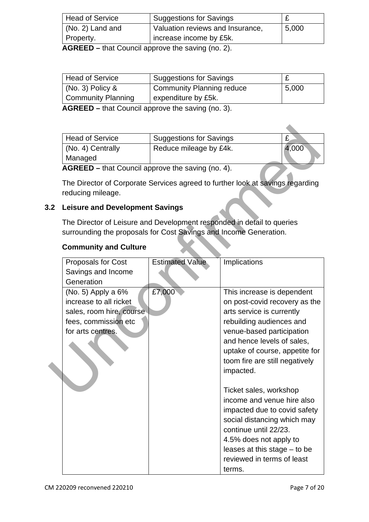| <b>Head of Service</b> | <b>Suggestions for Savings</b>   | ~     |
|------------------------|----------------------------------|-------|
| (No. 2) Land and       | Valuation reviews and Insurance, | 5,000 |
| Property.              | I increase income by £5k.        |       |

**AGREED –** that Council approve the saving (no. 2).

| <b>Head of Service</b>    | <b>Suggestions for Savings</b>   |       |
|---------------------------|----------------------------------|-------|
| $(No. 3)$ Policy &        | <b>Community Planning reduce</b> | 5,000 |
| <b>Community Planning</b> | expenditure by £5k.              |       |

**AGREED –** that Council approve the saving (no. 3).

| <b>Head of Service</b> | <b>Suggestions for Savings</b> |       |
|------------------------|--------------------------------|-------|
| (No. 4) Centrally      | Reduce mileage by £4k.         | 4,000 |
| Managed                |                                |       |
|                        |                                |       |

## **3.2 Leisure and Development Savings**

## **Community and Culture**

|    | <b>Head of Service</b>                                                                                                                      | <b>Suggestions for Savings</b> |                                                                                                                                                                                                                                                                                                                                                                                                                                                                                                                      | £     |
|----|---------------------------------------------------------------------------------------------------------------------------------------------|--------------------------------|----------------------------------------------------------------------------------------------------------------------------------------------------------------------------------------------------------------------------------------------------------------------------------------------------------------------------------------------------------------------------------------------------------------------------------------------------------------------------------------------------------------------|-------|
|    | (No. 4) Centrally<br>Managed                                                                                                                | Reduce mileage by £4k.         |                                                                                                                                                                                                                                                                                                                                                                                                                                                                                                                      | 4,000 |
|    | AGREED - that Council approve the saving (no. 4).                                                                                           |                                |                                                                                                                                                                                                                                                                                                                                                                                                                                                                                                                      |       |
|    | The Director of Corporate Services agreed to further look at savings regarding<br>reducing mileage.                                         |                                |                                                                                                                                                                                                                                                                                                                                                                                                                                                                                                                      |       |
| .2 | <b>Leisure and Development Savings</b>                                                                                                      |                                |                                                                                                                                                                                                                                                                                                                                                                                                                                                                                                                      |       |
|    | The Director of Leisure and Development responded in detail to queries<br>surrounding the proposals for Cost Savings and Income Generation. |                                |                                                                                                                                                                                                                                                                                                                                                                                                                                                                                                                      |       |
|    | <b>Community and Culture</b>                                                                                                                |                                |                                                                                                                                                                                                                                                                                                                                                                                                                                                                                                                      |       |
|    | <b>Proposals for Cost</b><br>Savings and Income<br>Generation                                                                               | <b>Estimated Value</b>         | Implications                                                                                                                                                                                                                                                                                                                                                                                                                                                                                                         |       |
|    | $(No. 5)$ Apply a $6\%$<br>increase to all ricket<br>sales, room hire, course<br>fees, commission etc<br>for arts centres.                  | £7,000                         | This increase is dependent<br>on post-covid recovery as the<br>arts service is currently<br>rebuilding audiences and<br>venue-based participation<br>and hence levels of sales,<br>uptake of course, appetite for<br>toom fire are still negatively<br>impacted.<br>Ticket sales, workshop<br>income and venue hire also<br>impacted due to covid safety<br>social distancing which may<br>continue until 22/23.<br>4.5% does not apply to<br>leases at this stage $-$ to be<br>reviewed in terms of least<br>terms. |       |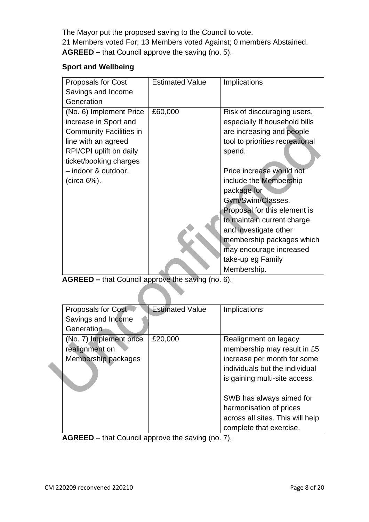The Mayor put the proposed saving to the Council to vote. 21 Members voted For; 13 Members voted Against; 0 members Abstained. **AGREED –** that Council approve the saving (no. 5).

## **Sport and Wellbeing**

| Proposals for Cost<br>Savings and Income<br>Generation                                                                                                                                               | <b>Estimated Value</b> | Implications                                                                                                                                                                                                                                                                                                                                                                                                        |
|------------------------------------------------------------------------------------------------------------------------------------------------------------------------------------------------------|------------------------|---------------------------------------------------------------------------------------------------------------------------------------------------------------------------------------------------------------------------------------------------------------------------------------------------------------------------------------------------------------------------------------------------------------------|
| (No. 6) Implement Price<br>increase in Sport and<br><b>Community Facilities in</b><br>line with an agreed<br>RPI/CPI uplift on daily<br>ticket/booking charges<br>- indoor & outdoor,<br>(circa 6%). | £60,000                | Risk of discouraging users,<br>especially If household bills<br>are increasing and people<br>tool to priorities recreational<br>spend.<br>Price increase would not<br>include the Membership<br>package for<br>Gym/Swim/Classes.<br>Proposal for this element is<br>to maintain current charge<br>and investigate other<br>membership packages which<br>may encourage increased<br>take-up eg Family<br>Membership. |
| Proposals for Cost<br>Savings and Income                                                                                                                                                             | <b>Estimated Value</b> | Implications                                                                                                                                                                                                                                                                                                                                                                                                        |
| (No. 7) Implement price<br>realignment on<br>Membership packages                                                                                                                                     | £20,000                | Realignment on legacy<br>membership may result in £5<br>increase per month for some<br>individuals but the individual<br>is gaining multi-site access.<br>$OMID$ has abusing simpled for                                                                                                                                                                                                                            |
|                                                                                                                                                                                                      | Generation             | AGREED - that Council approve the saving (no. 6).                                                                                                                                                                                                                                                                                                                                                                   |

| <b>Proposals for Cost</b> | <b>Estimated Value</b> | Implications                     |
|---------------------------|------------------------|----------------------------------|
| Savings and Income        |                        |                                  |
| Generation                |                        |                                  |
| (No. 7) Implement price   | £20,000                | Realignment on legacy            |
| realignment on            |                        | membership may result in £5      |
| Membership packages       |                        | increase per month for some      |
|                           |                        | individuals but the individual   |
|                           |                        | is gaining multi-site access.    |
|                           |                        |                                  |
|                           |                        | SWB has always aimed for         |
|                           |                        | harmonisation of prices          |
|                           |                        | across all sites. This will help |
|                           |                        | complete that exercise.          |

**AGREED –** that Council approve the saving (no. 7).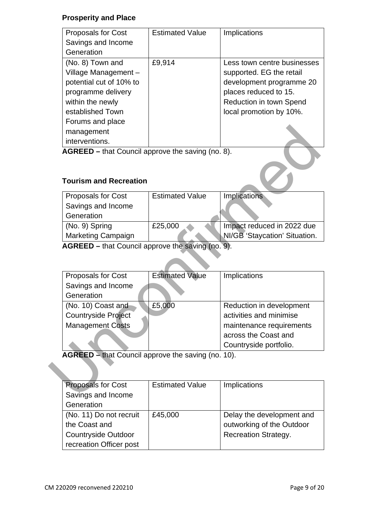## **Prosperity and Place**

| <b>Proposals for Cost</b> | <b>Estimated Value</b> | <b>Implications</b>         |
|---------------------------|------------------------|-----------------------------|
| Savings and Income        |                        |                             |
| Generation                |                        |                             |
| (No. 8) Town and          | £9,914                 | Less town centre businesses |
| Village Management-       |                        | supported. EG the retail    |
| potential cut of 10% to   |                        | development programme 20    |
| programme delivery        |                        | places reduced to 15.       |
| within the newly          |                        | Reduction in town Spend     |
| established Town          |                        | local promotion by 10%.     |
| Forums and place          |                        |                             |
| management                |                        |                             |
| interventions.            |                        |                             |

# **Tourism and Recreation**

| <b>Proposals for Cost</b> | <b>Estimated Value</b> | <b>Implications</b>           |
|---------------------------|------------------------|-------------------------------|
| Savings and Income        |                        |                               |
| Generation                |                        |                               |
| (No. 9) Spring            | £25,000                | Impact reduced in 2022 due    |
| <b>Marketing Campaign</b> |                        | NI/GB 'Staycation' Situation. |

| management                                         |                        |                               |
|----------------------------------------------------|------------------------|-------------------------------|
| interventions.                                     |                        |                               |
| AGREED – that Council approve the saving (no. 8).  |                        |                               |
|                                                    |                        |                               |
|                                                    |                        |                               |
| <b>Tourism and Recreation</b>                      |                        |                               |
| <b>Proposals for Cost</b>                          | <b>Estimated Value</b> | Implications                  |
| Savings and Income                                 |                        |                               |
| Generation                                         |                        |                               |
| (No. 9) Spring                                     | £25,000                | Impact reduced in 2022 due    |
|                                                    |                        |                               |
| <b>Marketing Campaign</b>                          |                        | NI/GB 'Staycation' Situation. |
| AGREED – that Council approve the saving (no. 9).  |                        |                               |
|                                                    |                        |                               |
|                                                    |                        |                               |
| Proposals for Cost                                 | <b>Estimated Value</b> | Implications                  |
| Savings and Income                                 |                        |                               |
|                                                    |                        |                               |
| Generation                                         |                        |                               |
|                                                    | £5,000                 | Reduction in development      |
| (No. 10) Coast and<br><b>Countryside Project</b>   |                        | activities and minimise       |
|                                                    |                        | maintenance requirements      |
| <b>Management Costs</b>                            |                        | across the Coast and          |
|                                                    |                        |                               |
|                                                    |                        | Countryside portfolio.        |
| AGREED - that Council approve the saving (no. 10). |                        |                               |
|                                                    |                        |                               |
|                                                    |                        |                               |
| <b>Proposals for Cost</b><br>Savings and Income    | <b>Estimated Value</b> | Implications                  |

| <b>Proposals for Cost</b>  | <b>Estimated Value</b> | Implications                |
|----------------------------|------------------------|-----------------------------|
| Savings and Income         |                        |                             |
| Generation                 |                        |                             |
| (No. 11) Do not recruit    | £45,000                | Delay the development and   |
| the Coast and              |                        | outworking of the Outdoor   |
| <b>Countryside Outdoor</b> |                        | <b>Recreation Strategy.</b> |
| recreation Officer post    |                        |                             |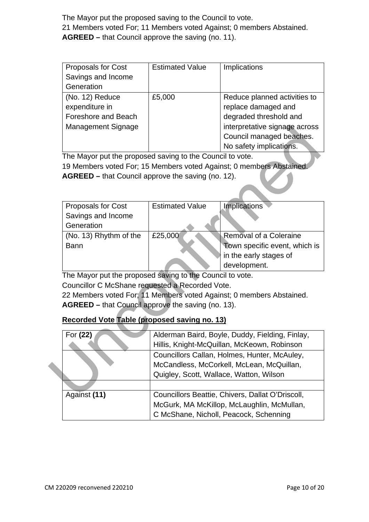The Mayor put the proposed saving to the Council to vote. 21 Members voted For; 11 Members voted Against; 0 members Abstained. **AGREED –** that Council approve the saving (no. 11).

| <b>Proposals for Cost</b> | <b>Estimated Value</b> | Implications                  |
|---------------------------|------------------------|-------------------------------|
| Savings and Income        |                        |                               |
| Generation                |                        |                               |
| (No. 12) Reduce           | £5,000                 | Reduce planned activities to  |
| expenditure in            |                        | replace damaged and           |
| Foreshore and Beach       |                        | degraded threshold and        |
| <b>Management Signage</b> |                        | interpretative signage across |
|                           |                        | Council managed beaches.      |
|                           |                        | No safety implications.       |

| Management Signage                                        |                        | interpretative signage across                                        |
|-----------------------------------------------------------|------------------------|----------------------------------------------------------------------|
|                                                           |                        | Council managed beaches.                                             |
|                                                           |                        | No safety implications.                                              |
| The Mayor put the proposed saving to the Council to vote. |                        |                                                                      |
|                                                           |                        | 19 Members voted For; 15 Members voted Against; 0 members Abstained. |
| AGREED - that Council approve the saving (no. 12).        |                        |                                                                      |
|                                                           |                        |                                                                      |
|                                                           |                        |                                                                      |
| Proposals for Cost                                        | <b>Estimated Value</b> | <b>Implications</b>                                                  |
| Savings and Income                                        |                        |                                                                      |
| Generation                                                |                        |                                                                      |
|                                                           |                        | Removal of a Coleraine                                               |
| (No. 13) Rhythm of the                                    | £25,000                |                                                                      |
| <b>Bann</b>                                               |                        | Town specific event, which is                                        |
|                                                           |                        | in the early stages of                                               |
|                                                           |                        | development.                                                         |
| The Mayor put the proposed saving to the Council to vote. |                        |                                                                      |
| Councillor C McShane requested a Recorded Vote.           |                        |                                                                      |
|                                                           |                        | 22 Members voted For; 11 Members voted Against; 0 members Abstained. |
| AGREED - that Council approve the saving (no. 13).        |                        |                                                                      |
|                                                           |                        |                                                                      |
| Recorded Vote Table (proposed saving no. 13)              |                        |                                                                      |
| For (22)                                                  |                        | Alderman Baird, Boyle, Duddy, Fielding, Finlay,                      |
|                                                           |                        | Hillis, Knight-McQuillan, McKeown, Robinson                          |
|                                                           |                        | Councillors Callan, Holmes, Hunter, McAuley,                         |
|                                                           |                        | McCandless, McCorkell, McLean, McQuillan,                            |
|                                                           |                        | Quigley, Scott, Wallace, Watton, Wilson                              |
|                                                           |                        |                                                                      |
| Against (11)                                              |                        | Councillors Beattie, Chivers, Dallat O'Driscoll,                     |

# **Recorded Vote Table (proposed saving no. 13)**

| For (22)     | Alderman Baird, Boyle, Duddy, Fielding, Finlay,  |
|--------------|--------------------------------------------------|
|              | Hillis, Knight-McQuillan, McKeown, Robinson      |
|              | Councillors Callan, Holmes, Hunter, McAuley,     |
|              | McCandless, McCorkell, McLean, McQuillan,        |
|              | Quigley, Scott, Wallace, Watton, Wilson          |
|              |                                                  |
| Against (11) | Councillors Beattie, Chivers, Dallat O'Driscoll, |
|              | McGurk, MA McKillop, McLaughlin, McMullan,       |
|              | C McShane, Nicholl, Peacock, Schenning           |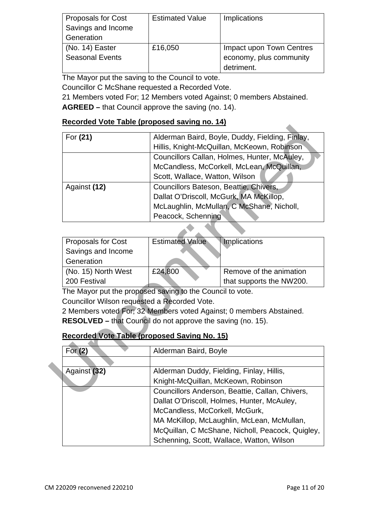| <b>Proposals for Cost</b> | <b>Estimated Value</b> | Implications             |
|---------------------------|------------------------|--------------------------|
| Savings and Income        |                        |                          |
| Generation                |                        |                          |
| (No. 14) Easter           | £16,050                | Impact upon Town Centres |
| <b>Seasonal Events</b>    |                        | economy, plus community  |
|                           |                        | detriment.               |

The Mayor put the saving to the Council to vote.

Councillor C McShane requested a Recorded Vote.

21 Members voted For; 12 Members voted Against; 0 members Abstained. **AGREED –** that Council approve the saving (no. 14).

## **Recorded Vote Table (proposed saving no. 14)**

| For (21)                                                           |                                        | Alderman Baird, Boyle, Duddy, Fielding, Finlay,                     |
|--------------------------------------------------------------------|----------------------------------------|---------------------------------------------------------------------|
|                                                                    |                                        | Hillis, Knight-McQuillan, McKeown, Robinson                         |
|                                                                    |                                        | Councillors Callan, Holmes, Hunter, McAuley,                        |
|                                                                    |                                        | McCandless, McCorkell, McLean, McQuillan,                           |
|                                                                    | Scott, Wallace, Watton, Wilson         |                                                                     |
| Against (12)                                                       | Councillors Bateson, Beattie, Chivers, |                                                                     |
|                                                                    |                                        | Dallat O'Driscoll, McGurk, MA McKillop,                             |
|                                                                    |                                        | McLaughlin, McMullan, C McShane, Nicholl,                           |
|                                                                    | Peacock, Schenning                     |                                                                     |
|                                                                    |                                        |                                                                     |
| Proposals for Cost                                                 | <b>Estimated Value</b>                 | <b>Implications</b>                                                 |
| Savings and Income                                                 |                                        |                                                                     |
| Generation                                                         |                                        |                                                                     |
| (No. 15) North West                                                | £24,800                                | Remove of the animation                                             |
| 200 Festival                                                       |                                        | that supports the NW200.                                            |
| The Mayor put the proposed saving to the Council to vote.          |                                        |                                                                     |
| Councillor Wilson requested a Recorded Vote.                       |                                        |                                                                     |
|                                                                    |                                        | 2 Members voted For; 32 Members voted Against; 0 members Abstained. |
| <b>RESOLVED</b> – that Council do not approve the saving (no. 15). |                                        |                                                                     |
| <b>Recorded Vote Table (proposed Saving No. 15)</b>                |                                        |                                                                     |
|                                                                    |                                        |                                                                     |
| For (2)                                                            | Alderman Baird, Boyle                  |                                                                     |
|                                                                    |                                        |                                                                     |
| Against (32)                                                       |                                        | Alderman Duddy, Fielding, Finlay, Hillis,                           |
|                                                                    |                                        | Knight-McQuillan, McKeown, Robinson                                 |
|                                                                    |                                        | Councillors Anderson, Beattie, Callan, Chivers,                     |
|                                                                    |                                        |                                                                     |

| <b>Proposals for Cost</b> | <b>Estimated Value</b> | Implications             |
|---------------------------|------------------------|--------------------------|
| Savings and Income        |                        |                          |
| Generation                |                        |                          |
| (No. 15) North West       | £24,800                | Remove of the animation  |
| 200 Festival              |                        | that supports the NW200. |

# **Recorded Vote Table (proposed Saving No. 15)**

| For $(2)$    | Alderman Baird, Boyle                            |
|--------------|--------------------------------------------------|
|              |                                                  |
| Against (32) | Alderman Duddy, Fielding, Finlay, Hillis,        |
|              | Knight-McQuillan, McKeown, Robinson              |
|              | Councillors Anderson, Beattie, Callan, Chivers,  |
|              | Dallat O'Driscoll, Holmes, Hunter, McAuley,      |
|              | McCandless, McCorkell, McGurk,                   |
|              | MA McKillop, McLaughlin, McLean, McMullan,       |
|              | McQuillan, C McShane, Nicholl, Peacock, Quigley, |
|              | Schenning, Scott, Wallace, Watton, Wilson        |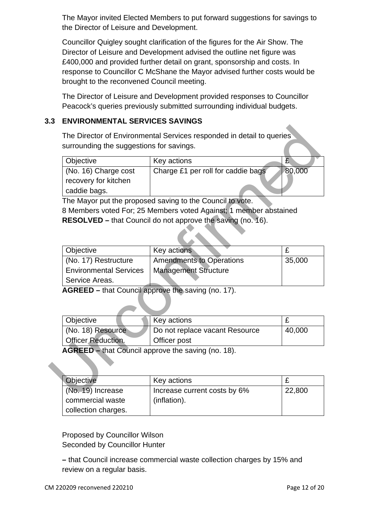The Mayor invited Elected Members to put forward suggestions for savings to the Director of Leisure and Development.

Councillor Quigley sought clarification of the figures for the Air Show. The Director of Leisure and Development advised the outline net figure was £400,000 and provided further detail on grant, sponsorship and costs. In response to Councillor C McShane the Mayor advised further costs would be brought to the reconvened Council meeting.

The Director of Leisure and Development provided responses to Councillor Peacock's queries previously submitted surrounding individual budgets.

## **3.3 ENVIRONMENTAL SERVICES SAVINGS**

| <b>Objective</b>     | Key actions                        | L      |
|----------------------|------------------------------------|--------|
| (No. 16) Charge cost | Charge £1 per roll for caddie bags | 80,000 |
| recovery for kitchen |                                    |        |
| caddie bags.         |                                    |        |

| Objective                                                    | Key actions                                                       | £           |
|--------------------------------------------------------------|-------------------------------------------------------------------|-------------|
| (No. 16) Charge cost<br>recovery for kitchen<br>caddie bags. | Charge £1 per roll for caddie bags                                | 80,000      |
|                                                              | The Mayor put the proposed saving to the Council to vote.         |             |
|                                                              | 8 Members voted For; 25 Members voted Against; 1 member abstained |             |
|                                                              | RESOLVED – that Council do not approve the saving (no. 16).       |             |
|                                                              |                                                                   |             |
|                                                              |                                                                   |             |
| Objective                                                    | Key actions                                                       | £           |
| (No. 17) Restructure                                         | <b>Amendments to Operations</b>                                   | 35,000      |
| <b>Environmental Services</b>                                | <b>Management Structure</b>                                       |             |
|                                                              |                                                                   |             |
| Service Areas.                                               |                                                                   |             |
|                                                              | AGREED - that Council approve the saving (no. 17).                |             |
|                                                              |                                                                   |             |
| Objective                                                    | Key actions                                                       | £           |
| (No. 18) Resource                                            | Do not replace vacant Resource                                    | 40,000      |
| <b>Officer Reduction.</b>                                    | Officer post                                                      |             |
|                                                              | <b>AGREED</b> – that Council approve the saving (no. 18).         |             |
|                                                              |                                                                   |             |
|                                                              |                                                                   |             |
| Objective<br>(No. 19) Increase                               | Key actions                                                       | £<br>22,800 |

| Objective                 | Key actions                    |        |
|---------------------------|--------------------------------|--------|
| (No. 18) Resource         | Do not replace vacant Resource | 40,000 |
| <b>Officer Reduction.</b> | <b>Officer post</b>            |        |

| Objective           | Key actions                  |        |
|---------------------|------------------------------|--------|
| $(No. 19)$ Increase | Increase current costs by 6% | 22,800 |
| commercial waste    | (inflation).                 |        |
| collection charges. |                              |        |

Proposed by Councillor Wilson Seconded by Councillor Hunter

**–** that Council increase commercial waste collection charges by 15% and review on a regular basis.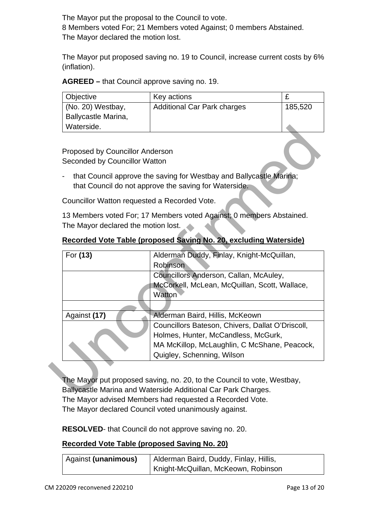The Mayor put the proposal to the Council to vote. 8 Members voted For; 21 Members voted Against; 0 members Abstained. The Mayor declared the motion lost.

The Mayor put proposed saving no. 19 to Council, increase current costs by 6% (inflation).

**AGREED –** that Council approve saving no. 19.

| Objective                 | Key actions                        |         |
|---------------------------|------------------------------------|---------|
| $\vert$ (No. 20) Westbay, | <b>Additional Car Park charges</b> | 185,520 |
| Ballycastle Marina,       |                                    |         |
| Waterside.                |                                    |         |

| Recorded Vote Table (proposed Saving No. 20, excluding Waterside) |  |  |
|-------------------------------------------------------------------|--|--|
|                                                                   |  |  |

| that Council approve the saving for Westbay and Ballycastle Marina;<br>that Council do not approve the saving for Waterside. |
|------------------------------------------------------------------------------------------------------------------------------|
|                                                                                                                              |
| 13 Members voted For; 17 Members voted Against; 0 members Abstained.                                                         |
|                                                                                                                              |
| Recorded Vote Table (proposed Saving No. 20, excluding Waterside)                                                            |
|                                                                                                                              |
| Alderman Duddy, Finlay, Knight-McQuillan,                                                                                    |
|                                                                                                                              |
| Councillors Anderson, Callan, McAuley,                                                                                       |
| McCorkell, McLean, McQuillan, Scott, Wallace,                                                                                |
|                                                                                                                              |
| Alderman Baird, Hillis, McKeown                                                                                              |
| Councillors Bateson, Chivers, Dallat O'Driscoll,                                                                             |
| Holmes, Hunter, McCandless, McGurk,                                                                                          |
| MA McKillop, McLaughlin, C McShane, Peacock,                                                                                 |
| Quigley, Schenning, Wilson                                                                                                   |
|                                                                                                                              |
|                                                                                                                              |
| The Mayor put proposed saving, no. 20, to the Council to vote, Westbay,                                                      |
| Ballycastle Marina and Waterside Additional Car Park Charges.                                                                |
|                                                                                                                              |

The Mayor put proposed saving, no. 20, to the Council to vote, Westbay, Ballycastle Marina and Waterside Additional Car Park Charges. The Mayor advised Members had requested a Recorded Vote. The Mayor declared Council voted unanimously against.

**RESOLVED**- that Council do not approve saving no. 20.

## **Recorded Vote Table (proposed Saving No. 20)**

| Against (unanimous) | Alderman Baird, Duddy, Finlay, Hillis, |
|---------------------|----------------------------------------|
|                     | Knight-McQuillan, McKeown, Robinson    |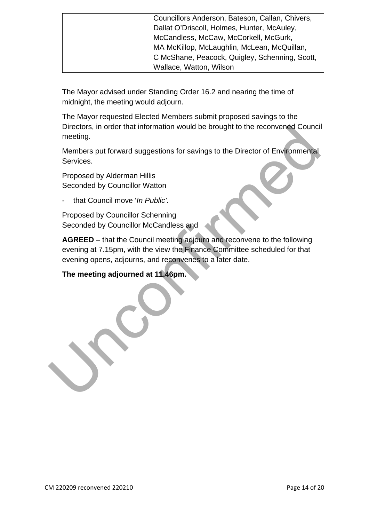| Councillors Anderson, Bateson, Callan, Chivers, |
|-------------------------------------------------|
| Dallat O'Driscoll, Holmes, Hunter, McAuley,     |
| McCandless, McCaw, McCorkell, McGurk,           |
| MA McKillop, McLaughlin, McLean, McQuillan,     |
| C McShane, Peacock, Quigley, Schenning, Scott,  |
| Wallace, Watton, Wilson                         |
|                                                 |

The Mayor advised under Standing Order 16.2 and nearing the time of midnight, the meeting would adjourn.

The Mayor requested Elected Members submit proposed savings to the Directors, in order that information would be brought to the reconvened Council meeting.

Members put forward suggestions for savings to the Director of Environmental Services.

Proposed by Alderman Hillis Seconded by Councillor Watton

- that Council move '*In Public'.* 

Proposed by Councillor Schenning Seconded by Councillor McCandless and

**AGREED** – that the Council meeting adjourn and reconvene to the following evening at 7.15pm, with the view the Finance Committee scheduled for that evening opens, adjourns, and reconvenes to a later date. Directors, in order that information would be brought to the reconvened Council<br>metring.<br>Members put forward suggestions for savings to the Director of Environmental<br>Services.<br>Proposed by Alderman Hillis<br>Seconded by Counci

# **The meeting adjourned at 11.46pm.**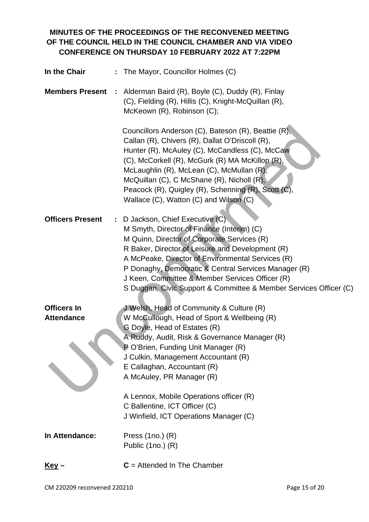# **MINUTES OF THE PROCEEDINGS OF THE RECONVENED MEETING OF THE COUNCIL HELD IN THE COUNCIL CHAMBER AND VIA VIDEO CONFERENCE ON THURSDAY 10 FEBRUARY 2022 AT 7:22PM**

| In the Chair<br>÷             | The Mayor, Councillor Holmes (C)                                                                                                                                                                                                                                                                                                                                                                                     |
|-------------------------------|----------------------------------------------------------------------------------------------------------------------------------------------------------------------------------------------------------------------------------------------------------------------------------------------------------------------------------------------------------------------------------------------------------------------|
| <b>Members Present</b>        | Alderman Baird (R), Boyle (C), Duddy (R), Finlay<br>(C), Fielding (R), Hillis (C), Knight-McQuillan (R),<br>McKeown (R), Robinson (C);                                                                                                                                                                                                                                                                               |
|                               | Councillors Anderson (C), Bateson (R), Beattie (R),<br>Callan (R), Chivers (R), Dallat O'Driscoll (R),<br>Hunter (R), McAuley (C), McCandless (C), McCaw<br>(C), McCorkell (R), McGurk (R) MA McKillop (R),<br>McLaughlin (R), McLean (C), McMullan (R),<br>McQuillan (C), C McShane (R), Nicholl (R),<br>Peacock (R), Quigley (R), Schenning (R), Scott (C),<br>Wallace (C), Watton (C) and Wilson (C)              |
| <b>Officers Present</b><br>÷. | D Jackson, Chief Executive (C)<br>M Smyth, Director of Finance (Interim) (C)<br>M Quinn, Director of Corporate Services (R)<br>R Baker, Director of Leisure and Development (R)<br>A McPeake, Director of Environmental Services (R)<br>P Donaghy, Democratic & Central Services Manager (R)<br>J Keen, Committee & Member Services Officer (R)<br>S Duggan, Civic Support & Committee & Member Services Officer (C) |
| <b>Officers In</b>            | J Welsh, Head of Community & Culture (R)                                                                                                                                                                                                                                                                                                                                                                             |
| <b>Attendance</b>             | W McCullough, Head of Sport & Wellbeing (R)                                                                                                                                                                                                                                                                                                                                                                          |
|                               | G Doyle, Head of Estates (R)<br>A Ruddy, Audit, Risk & Governance Manager (R)<br>P O'Brien, Funding Unit Manager (R)<br>J Culkin, Management Accountant (R)<br>E Callaghan, Accountant (R)<br>A McAuley, PR Manager (R)                                                                                                                                                                                              |
|                               | A Lennox, Mobile Operations officer (R)                                                                                                                                                                                                                                                                                                                                                                              |
|                               | C Ballentine, ICT Officer (C)<br>J Winfield, ICT Operations Manager (C)                                                                                                                                                                                                                                                                                                                                              |
| In Attendance:                | Press $(1no.) (R)$<br>Public (1no.) (R)                                                                                                                                                                                                                                                                                                                                                                              |
| <u>Key</u> –                  | $C =$ Attended In The Chamber                                                                                                                                                                                                                                                                                                                                                                                        |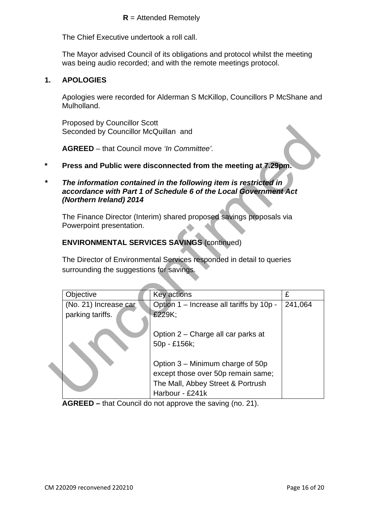#### **R** = Attended Remotely

The Chief Executive undertook a roll call.

The Mayor advised Council of its obligations and protocol whilst the meeting was being audio recorded; and with the remote meetings protocol.

## **1. APOLOGIES**

Apologies were recorded for Alderman S McKillop, Councillors P McShane and Mulholland.

Proposed by Councillor Scott Seconded by Councillor McQuillan and

- **\* Press and Public were disconnected from the meeting at 7.29pm.**
- *\* The information contained in the following item is restricted in accordance with Part 1 of Schedule 6 of the Local Government Act (Northern Ireland) 2014*

#### **ENVIRONMENTAL SERVICES SAVINGS** (continued)

| <b>I</b> TOPOSCA DY ODATIONIOI OODII<br>Seconded by Councillor McQuillan and |                                                                                                                                      |         |  |  |
|------------------------------------------------------------------------------|--------------------------------------------------------------------------------------------------------------------------------------|---------|--|--|
| <b>AGREED</b> – that Council move 'In Committee'.                            |                                                                                                                                      |         |  |  |
|                                                                              | Press and Public were disconnected from the meeting at 7.29pm.                                                                       |         |  |  |
| (Northern Ireland) 2014                                                      | The information contained in the following item is restricted in<br>accordance with Part 1 of Schedule 6 of the Local Government Act |         |  |  |
| Powerpoint presentation.                                                     | The Finance Director (Interim) shared proposed savings proposals via                                                                 |         |  |  |
| <b>ENVIRONMENTAL SERVICES SAVINGS (continued)</b>                            |                                                                                                                                      |         |  |  |
| surrounding the suggestions for savings.                                     | The Director of Environmental Services responded in detail to queries                                                                |         |  |  |
| Objective                                                                    | Key actions                                                                                                                          | £       |  |  |
| (No. 21) Increase car<br>parking tariffs.                                    | Option 1 – Increase all tariffs by 10p -<br>£229K;                                                                                   | 241,064 |  |  |
|                                                                              | Option 2 - Charge all car parks at<br>50p - £156k;                                                                                   |         |  |  |
|                                                                              | Option 3 – Minimum charge of 50p<br>except those over 50p remain same;<br>The Mall, Abbey Street & Portrush<br>Harbour - £241k       |         |  |  |

**AGREED –**  that Council do not approve the saving (no. 21).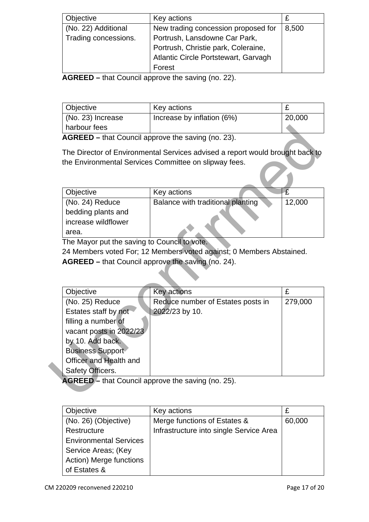| Objective            | Key actions                          |       |
|----------------------|--------------------------------------|-------|
| (No. 22) Additional  | New trading concession proposed for  | 8,500 |
| Trading concessions. | Portrush, Lansdowne Car Park,        |       |
|                      | Portrush, Christie park, Coleraine,  |       |
|                      | Atlantic Circle Portstewart, Garvagh |       |
|                      | Forest                               |       |

**AGREED –** that Council approve the saving (no. 22).

| <b>Objective</b>    | Key actions                |        |
|---------------------|----------------------------|--------|
| $(No. 23)$ Increase | Increase by inflation (6%) | 20,000 |
| harbour fees        |                            |        |

| Objective           | Key actions                       |        |
|---------------------|-----------------------------------|--------|
| (No. 24) Reduce     | Balance with traditional planting | 12,000 |
| bedding plants and  |                                   |        |
| increase wildflower |                                   |        |
| area.               |                                   |        |

|                                                | <b>AGREED</b> – that Council approve the saving (no. 23).                     |                |
|------------------------------------------------|-------------------------------------------------------------------------------|----------------|
|                                                | The Director of Environmental Services advised a report would brought back to |                |
|                                                | the Environmental Services Committee on slipway fees.                         |                |
|                                                |                                                                               |                |
|                                                |                                                                               |                |
| Objective                                      | Key actions                                                                   | $\overline{f}$ |
| (No. 24) Reduce                                | Balance with traditional planting                                             | 12,000         |
| bedding plants and                             |                                                                               |                |
| increase wildflower                            |                                                                               |                |
| area.                                          |                                                                               |                |
| The Mayor put the saving to Council to vote.   |                                                                               |                |
|                                                | 24 Members voted For; 12 Members voted against; 0 Members Abstained.          |                |
|                                                | <b>AGREED</b> – that Council approve the saving (no. 24).                     |                |
|                                                |                                                                               |                |
|                                                |                                                                               |                |
| Objective                                      | <b>Key actions</b>                                                            | £              |
|                                                |                                                                               |                |
| (No. 25) Reduce                                | Reduce number of Estates posts in                                             | 279,000        |
| Estates staff by not                           | 2022/23 by 10.                                                                |                |
|                                                |                                                                               |                |
| filling a number of<br>vacant posts in 2022/23 |                                                                               |                |
| by 10. Add back.                               |                                                                               |                |
| <b>Business Support</b>                        |                                                                               |                |
| Officer and Health and                         |                                                                               |                |
|                                                |                                                                               |                |
| Safety Officers.                               | AGREED - that Council approve the saving (no. 25).                            |                |

| Objective                     | Key actions                             |        |
|-------------------------------|-----------------------------------------|--------|
| (No. 26) (Objective)          | Merge functions of Estates &            | 60,000 |
| Restructure                   | Infrastructure into single Service Area |        |
| <b>Environmental Services</b> |                                         |        |
| Service Areas; (Key           |                                         |        |
| Action) Merge functions       |                                         |        |
| of Estates &                  |                                         |        |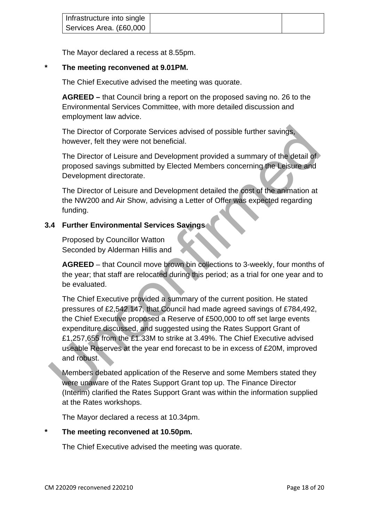| Infrastructure into single |  |
|----------------------------|--|
| Services Area. (£60,000    |  |

The Mayor declared a recess at 8.55pm.

## **\* The meeting reconvened at 9.01PM.**

The Chief Executive advised the meeting was quorate.

**AGREED –** that Council bring a report on the proposed saving no. 26 to the Environmental Services Committee, with more detailed discussion and employment law advice.

The Director of Corporate Services advised of possible further savings, however, felt they were not beneficial.

The Director of Leisure and Development provided a summary of the detail of proposed savings submitted by Elected Members concerning the Leisure and Development directorate.

The Director of Leisure and Development detailed the cost of the animation at the NW200 and Air Show, advising a Letter of Offer was expected regarding funding.

## **3.4 Further Environmental Services Savings**

Proposed by Councillor Watton Seconded by Alderman Hillis and

**AGREED** – that Council move brown bin collections to 3-weekly, four months of the year; that staff are relocated during this period; as a trial for one year and to be evaluated.

The Chief Executive provided a summary of the current position. He stated pressures of £2,542,147, that Council had made agreed savings of £784,492, the Chief Executive proposed a Reserve of £500,000 to off set large events expenditure discussed, and suggested using the Rates Support Grant of £1,257,655 from the £1.33M to strike at 3.49%. The Chief Executive advised useable Reserves at the year end forecast to be in excess of £20M, improved and robust. The Director of Corporate Services advised of possible further savings,<br>
however, felt they were not beneficial.<br>
The Director of Leisure and Development provided a summary of the detail of<br>
proposed savings submitted by E

Members debated application of the Reserve and some Members stated they were unaware of the Rates Support Grant top up. The Finance Director (Interim) clarified the Rates Support Grant was within the information supplied at the Rates workshops.

The Mayor declared a recess at 10.34pm.

## **\* The meeting reconvened at 10.50pm.**

The Chief Executive advised the meeting was quorate.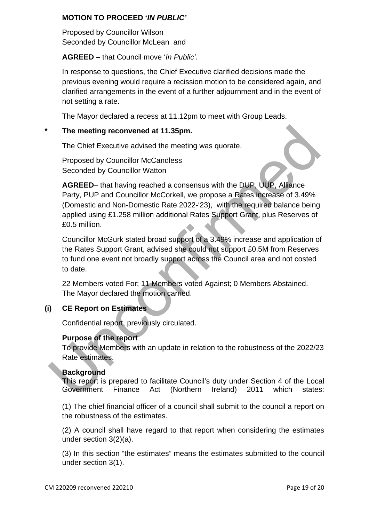## **MOTION TO PROCEED '***IN PUBLIC'*

Proposed by Councillor Wilson Seconded by Councillor McLean and

## **AGREED –** that Council move '*In Public'.*

In response to questions, the Chief Executive clarified decisions made the previous evening would require a recission motion to be considered again, and clarified arrangements in the event of a further adjournment and in the event of not setting a rate.

The Mayor declared a recess at 11.12pm to meet with Group Leads.

## **\* The meeting reconvened at 11.35pm.**

The Chief Executive advised the meeting was quorate.

Proposed by Councillor McCandless Seconded by Councillor Watton

**AGREED**– that having reached a consensus with the DUP, UUP, Alliance Party, PUP and Councillor McCorkell, we propose a Rates increase of 3.49% (Domestic and Non-Domestic Rate 2022-'23), with the required balance being applied using £1.258 million additional Rates Support Grant, plus Reserves of £0.5 million. The meeting reconvened at 11.35pm.<br>
The Chief Executive advised the meeting was quorate.<br>
Proposed by Councillor McCandless<br>
Seconded by Councillor Watton<br>
AGREED-that having reached a consensus with the DUP, UUP, Alliance

Councillor McGurk stated broad support of a 3.49% increase and application of the Rates Support Grant, advised she could not support £0.5M from Reserves to fund one event not broadly support across the Council area and not costed to date.

22 Members voted For; 11 Members voted Against; 0 Members Abstained. The Mayor declared the motion carried.

## **(i) CE Report on Estimates**

Confidential report, previously circulated.

## **Purpose of the report**

To provide Members with an update in relation to the robustness of the 2022/23 Rate estimates.

## **Background**

This report is prepared to facilitate Council's duty under Section 4 of the Local Government Finance Act (Northern Ireland) 2011 which states:

(1) The chief financial officer of a council shall submit to the council a report on the robustness of the estimates.

(2) A council shall have regard to that report when considering the estimates under section 3(2)(a).

(3) In this section "the estimates" means the estimates submitted to the council under section 3(1).